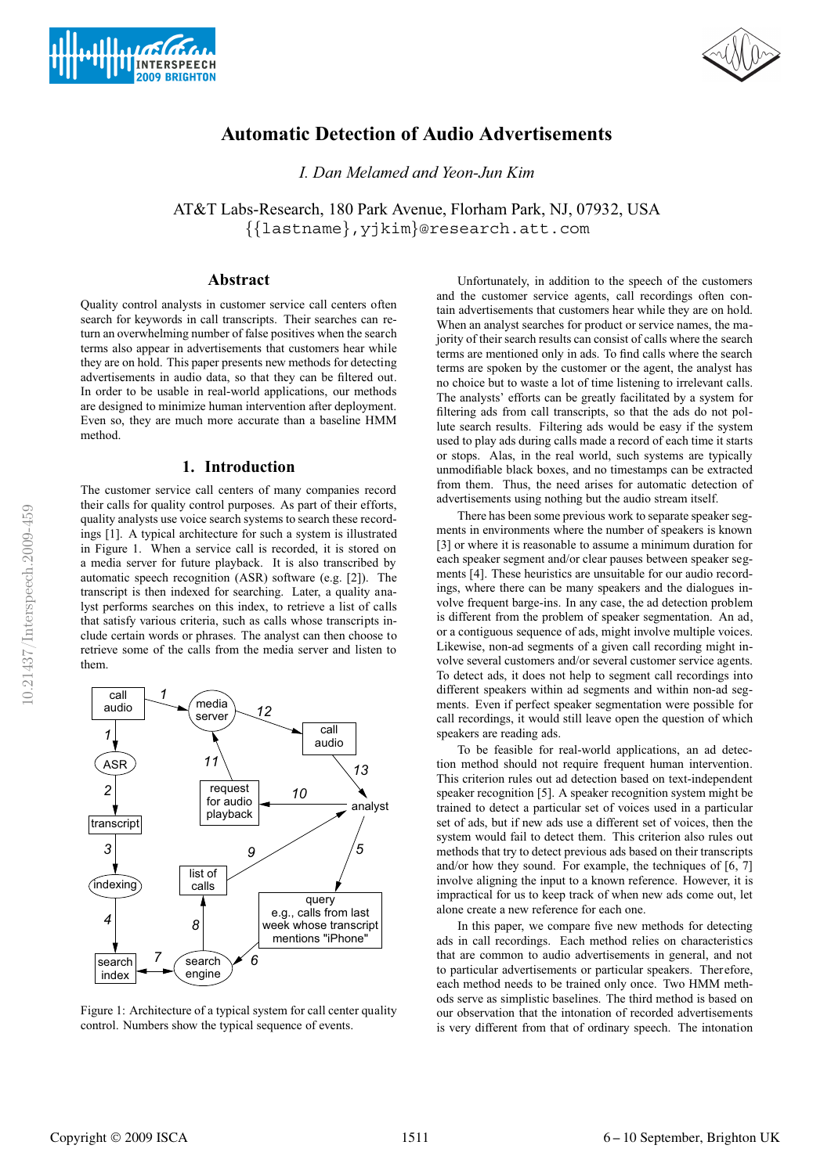



# **Automatic Detection of Audio Advertisements**

*I. Dan Melamed and Yeon-Jun Kim*

AT&T Labs-Research, 180 Park Avenue, Florham Park, NJ, 07932, USA {{lastname},yjkim}@research.att.com

# **Abstract**

Quality control analysts in customer service call centers often search for keywords in call transcripts. Their searches can return an overwhelming number of false positives when the search terms also appear in advertisements that customers hear while they are on hold. This paper presents new methods for detecting advertisements in audio data, so that they can be filtered out. In order to be usable in real-world applications, our methods are designed to minimize human intervention after deployment. Even so, they are much more accurate than a baseline HMM method.

### **1. Introduction**

The customer service call centers of many companies record their calls for quality control purposes. As part of their efforts, quality analysts use voice search systems to search these recordings [1]. A typical architecture for such a system is illustrated in Figure 1. When a service call is recorded, it is stored on a media server for future playback. It is also transcribed by automatic speech recognition (ASR) software (e.g. [2]). The transcript is then indexed for searching. Later, a quality analyst performs searches on this index, to retrieve a list of calls that satisfy various criteria, such as calls whose transcripts include certain words or phrases. The analyst can then choose to retrieve some of the calls from the media server and listen to them.



Figure 1: Architecture of a typical system for call center quality control. Numbers show the typical sequence of events.

Unfortunately, in addition to the speech of the customers and the customer service agents, call recordings often contain advertisements that customers hear while they are on hold. When an analyst searches for product or service names, the majority of their search results can consist of calls where the search terms are mentioned only in ads. To find calls where the search terms are spoken by the customer or the agent, the analyst has no choice but to waste a lot of time listening to irrelevant calls. The analysts' efforts can be greatly facilitated by a system for filtering ads from call transcripts, so that the ads do not pollute search results. Filtering ads would be easy if the system used to play ads during calls made a record of each time it starts or stops. Alas, in the real world, such systems are typically unmodifiable black boxes, and no timestamps can be extracted from them. Thus, the need arises for automatic detection of advertisements using nothing but the audio stream itself.

There has been some previous work to separate speaker segments in environments where the number of speakers is known [3] or where it is reasonable to assume a minimum duration for each speaker segment and/or clear pauses between speaker segments [4]. These heuristics are unsuitable for our audio recordings, where there can be many speakers and the dialogues involve frequent barge-ins. In any case, the ad detection problem is different from the problem of speaker segmentation. An ad, or a contiguous sequence of ads, might involve multiple voices. Likewise, non-ad segments of a given call recording might involve several customers and/or several customer service agents. To detect ads, it does not help to segment call recordings into different speakers within ad segments and within non-ad segments. Even if perfect speaker segmentation were possible for call recordings, it would still leave open the question of which speakers are reading ads.

To be feasible for real-world applications, an ad detection method should not require frequent human intervention. This criterion rules out ad detection based on text-independent speaker recognition [5]. A speaker recognition system might be trained to detect a particular set of voices used in a particular set of ads, but if new ads use a different set of voices, then the system would fail to detect them. This criterion also rules out methods that try to detect previous ads based on their transcripts and/or how they sound. For example, the techniques of [6, 7] involve aligning the input to a known reference. However, it is impractical for us to keep track of when new ads come out, let alone create a new reference for each one.

In this paper, we compare five new methods for detecting ads in call recordings. Each method relies on characteristics that are common to audio advertisements in general, and not to particular advertisements or particular speakers. Therefore, each method needs to be trained only once. Two HMM methods serve as simplistic baselines. The third method is based on our observation that the intonation of recorded advertisements is very different from that of ordinary speech. The intonation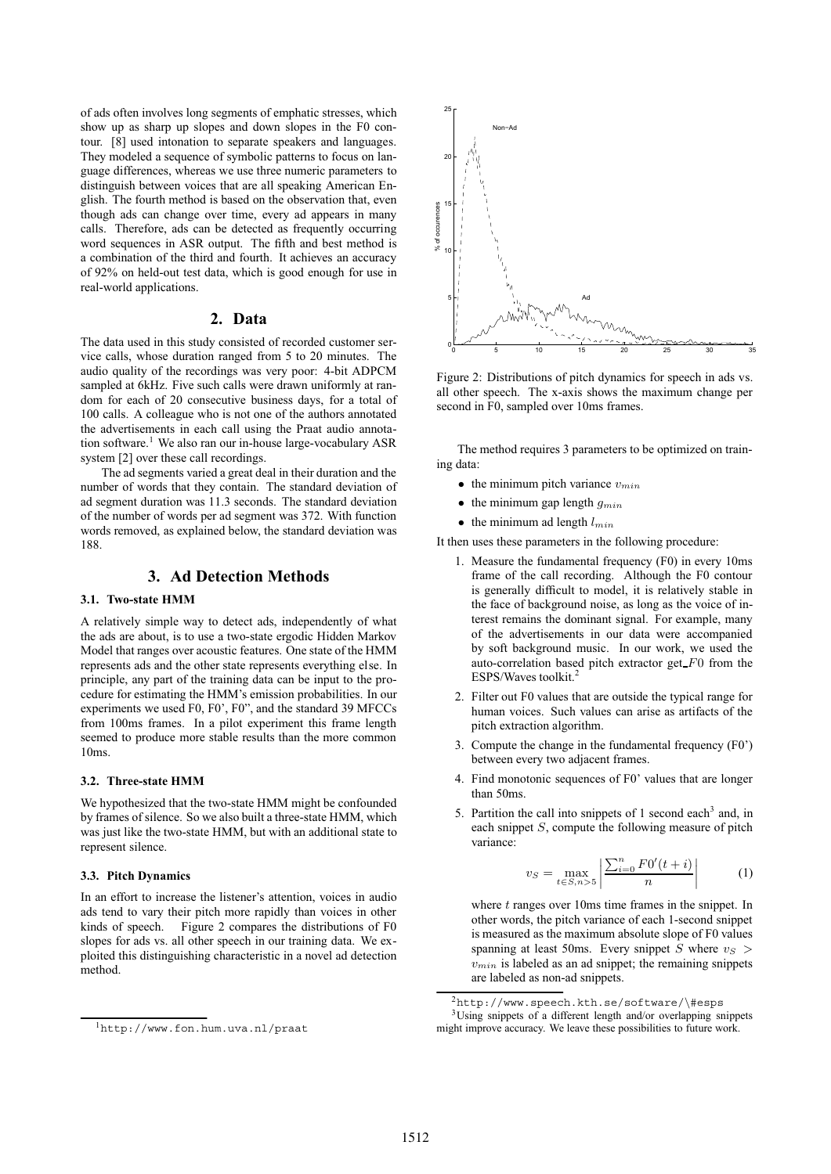of ads often involves long segments of emphatic stresses, which show up as sharp up slopes and down slopes in the F0 contour. [8] used intonation to separate speakers and languages. They modeled a sequence of symbolic patterns to focus on language differences, whereas we use three numeric parameters to distinguish between voices that are all speaking American English. The fourth method is based on the observation that, even though ads can change over time, every ad appears in many calls. Therefore, ads can be detected as frequently occurring word sequences in ASR output. The fifth and best method is a combination of the third and fourth. It achieves an accuracy of 92% on held-out test data, which is good enough for use in real-world applications.

## **2. Data**

The data used in this study consisted of recorded customer service calls, whose duration ranged from 5 to 20 minutes. The audio quality of the recordings was very poor: 4-bit ADPCM sampled at 6kHz. Five such calls were drawn uniformly at random for each of 20 consecutive business days, for a total of 100 calls. A colleague who is not one of the authors annotated the advertisements in each call using the Praat audio annotation software.<sup>1</sup> We also ran our in-house large-vocabulary ASR system [2] over these call recordings.

The ad segments varied a great deal in their duration and the number of words that they contain. The standard deviation of ad segment duration was 11.3 seconds. The standard deviation of the number of words per ad segment was 372. With function words removed, as explained below, the standard deviation was 188.

## **3. Ad Detection Methods**

#### **3.1. Two-state HMM**

A relatively simple way to detect ads, independently of what the ads are about, is to use a two-state ergodic Hidden Markov Model that ranges over acoustic features. One state of the HMM represents ads and the other state represents everything else. In principle, any part of the training data can be input to the procedure for estimating the HMM's emission probabilities. In our experiments we used F0, F0', F0", and the standard 39 MFCCs from 100ms frames. In a pilot experiment this frame length seemed to produce more stable results than the more common 10ms.

#### **3.2. Three-state HMM**

We hypothesized that the two-state HMM might be confounded by frames of silence. So we also built a three-state HMM, which was just like the two-state HMM, but with an additional state to represent silence.

### **3.3. Pitch Dynamics**

In an effort to increase the listener's attention, voices in audio ads tend to vary their pitch more rapidly than voices in other kinds of speech. Figure 2 compares the distributions of F0 slopes for ads vs. all other speech in our training data. We exploited this distinguishing characteristic in a novel ad detection method.



Figure 2: Distributions of pitch dynamics for speech in ads vs. all other speech. The x-axis shows the maximum change per second in F0, sampled over 10ms frames.

The method requires 3 parameters to be optimized on training data:

- the minimum pitch variance  $v_{min}$
- the minimum gap length  $g_{min}$
- the minimum ad length  $l_{min}$

It then uses these parameters in the following procedure:

- 1. Measure the fundamental frequency (F0) in every 10ms frame of the call recording. Although the F0 contour is generally difficult to model, it is relatively stable in the face of background noise, as long as the voice of interest remains the dominant signal. For example, many of the advertisements in our data were accompanied by soft background music. In our work, we used the auto-correlation based pitch extractor get $F0$  from the ESPS/Waves toolkit.<sup>2</sup>
- 2. Filter out F0 values that are outside the typical range for human voices. Such values can arise as artifacts of the pitch extraction algorithm.
- 3. Compute the change in the fundamental frequency (F0') between every two adjacent frames.
- 4. Find monotonic sequences of F0' values that are longer than 50ms.
- 5. Partition the call into snippets of 1 second each<sup>3</sup> and, in each snippet S, compute the following measure of pitch variance:

$$
v_S = \max_{t \in S, n > 5} \left| \frac{\sum_{i=0}^{n} F0'(t+i)}{n} \right| \tag{1}
$$

where  $t$  ranges over 10ms time frames in the snippet. In other words, the pitch variance of each 1-second snippet is measured as the maximum absolute slope of F0 values spanning at least 50ms. Every snippet S where  $v_S$  $v_{min}$  is labeled as an ad snippet; the remaining snippets are labeled as non-ad snippets.

 $2$ http://www.speech.kth.se/software/\#esps 3Using snippets of a different length and/or overlapping snippets might improve accuracy. We leave these possibilities to future work.

<sup>1</sup>http://www.fon.hum.uva.nl/praat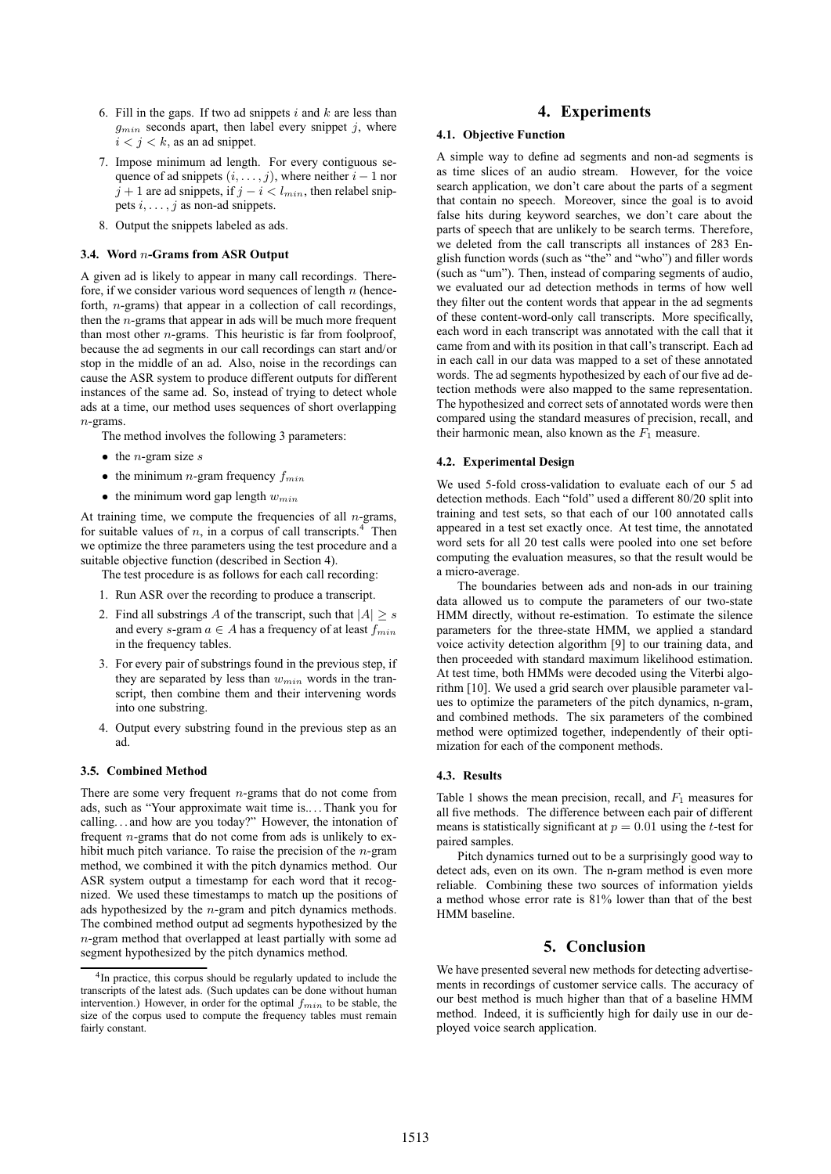- 6. Fill in the gaps. If two ad snippets  $i$  and  $k$  are less than  $g_{min}$  seconds apart, then label every snippet j, where  $i < j < k$ , as an ad snippet.
- 7. Impose minimum ad length. For every contiguous sequence of ad snippets  $(i, \ldots, j)$ , where neither  $i - 1$  nor  $j + 1$  are ad snippets, if  $j - i < l_{min}$ , then relabel snippets  $i, \ldots, j$  as non-ad snippets.
- 8. Output the snippets labeled as ads.

#### **3.4. Word** n**-Grams from ASR Output**

A given ad is likely to appear in many call recordings. Therefore, if we consider various word sequences of length  $n$  (henceforth, n-grams) that appear in a collection of call recordings, then the  $n$ -grams that appear in ads will be much more frequent than most other  $n$ -grams. This heuristic is far from foolproof, because the ad segments in our call recordings can start and/or stop in the middle of an ad. Also, noise in the recordings can cause the ASR system to produce different outputs for different instances of the same ad. So, instead of trying to detect whole ads at a time, our method uses sequences of short overlapping  $n$ -grams.

- The method involves the following 3 parameters:
- $\bullet$  the *n*-gram size s
- the minimum *n*-gram frequency  $f_{min}$
- the minimum word gap length  $w_{min}$

At training time, we compute the frequencies of all  $n$ -grams, for suitable values of  $n$ , in a corpus of call transcripts.<sup>4</sup> Then we optimize the three parameters using the test procedure and a suitable objective function (described in Section 4).

The test procedure is as follows for each call recording:

- 1. Run ASR over the recording to produce a transcript.
- 2. Find all substrings A of the transcript, such that  $|A| \geq s$ and every s-gram  $a \in A$  has a frequency of at least  $f_{min}$ in the frequency tables.
- 3. For every pair of substrings found in the previous step, if they are separated by less than  $w_{min}$  words in the transcript, then combine them and their intervening words into one substring.
- 4. Output every substring found in the previous step as an ad.

#### **3.5. Combined Method**

There are some very frequent  $n$ -grams that do not come from ads, such as "Your approximate wait time is.. . . Thank you for calling. . . and how are you today?" However, the intonation of frequent n-grams that do not come from ads is unlikely to exhibit much pitch variance. To raise the precision of the  $n$ -gram method, we combined it with the pitch dynamics method. Our ASR system output a timestamp for each word that it recognized. We used these timestamps to match up the positions of ads hypothesized by the  $n$ -gram and pitch dynamics methods. The combined method output ad segments hypothesized by the n-gram method that overlapped at least partially with some ad segment hypothesized by the pitch dynamics method.

# **4. Experiments**

### **4.1. Objective Function**

A simple way to define ad segments and non-ad segments is as time slices of an audio stream. However, for the voice search application, we don't care about the parts of a segment that contain no speech. Moreover, since the goal is to avoid false hits during keyword searches, we don't care about the parts of speech that are unlikely to be search terms. Therefore, we deleted from the call transcripts all instances of 283 English function words (such as "the" and "who") and filler words (such as "um"). Then, instead of comparing segments of audio, we evaluated our ad detection methods in terms of how well they filter out the content words that appear in the ad segments of these content-word-only call transcripts. More specifically, each word in each transcript was annotated with the call that it came from and with its position in that call's transcript. Each ad in each call in our data was mapped to a set of these annotated words. The ad segments hypothesized by each of our five ad detection methods were also mapped to the same representation. The hypothesized and correct sets of annotated words were then compared using the standard measures of precision, recall, and their harmonic mean, also known as the  $F_1$  measure.

#### **4.2. Experimental Design**

We used 5-fold cross-validation to evaluate each of our 5 ad detection methods. Each "fold" used a different 80/20 split into training and test sets, so that each of our 100 annotated calls appeared in a test set exactly once. At test time, the annotated word sets for all 20 test calls were pooled into one set before computing the evaluation measures, so that the result would be a micro-average.

The boundaries between ads and non-ads in our training data allowed us to compute the parameters of our two-state HMM directly, without re-estimation. To estimate the silence parameters for the three-state HMM, we applied a standard voice activity detection algorithm [9] to our training data, and then proceeded with standard maximum likelihood estimation. At test time, both HMMs were decoded using the Viterbi algorithm [10]. We used a grid search over plausible parameter values to optimize the parameters of the pitch dynamics, n-gram, and combined methods. The six parameters of the combined method were optimized together, independently of their optimization for each of the component methods.

#### **4.3. Results**

Table 1 shows the mean precision, recall, and  $F_1$  measures for all five methods. The difference between each pair of different means is statistically significant at  $p = 0.01$  using the t-test for paired samples.

Pitch dynamics turned out to be a surprisingly good way to detect ads, even on its own. The n-gram method is even more reliable. Combining these two sources of information yields a method whose error rate is 81% lower than that of the best HMM baseline.

### **5. Conclusion**

We have presented several new methods for detecting advertisements in recordings of customer service calls. The accuracy of our best method is much higher than that of a baseline HMM method. Indeed, it is sufficiently high for daily use in our deployed voice search application.

<sup>&</sup>lt;sup>4</sup>In practice, this corpus should be regularly updated to include the transcripts of the latest ads. (Such updates can be done without human intervention.) However, in order for the optimal  $f_{min}$  to be stable, the size of the corpus used to compute the frequency tables must remain fairly constant.